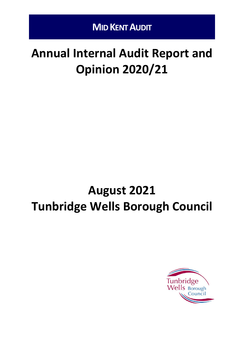# **Annual Internal Audit Report and Opinion 2020/21**

# **August 2021 Tunbridge Wells Borough Council**

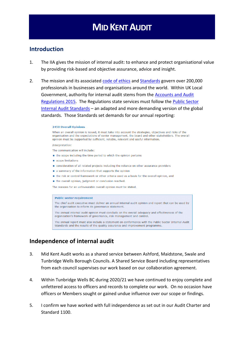#### **Introduction**

- 1. The IIA gives the mission of internal audit: to enhance and protect organisational value by providing risk-based and objective assurance, advice and insight.
- 2. The mission and its associated [code of ethics](https://na.theiia.org/standards-guidance/mandatory-guidance/Pages/Code-of-Ethics.aspx) and [Standards](https://www.iia.org.uk/resources/global-guidance/international-standards/) govern over 200,000 professionals in businesses and organisations around the world. Within UK Local Government, authority for internal audit stems from the [Accounts and Audit](http://www.legislation.gov.uk/uksi/2015/234/pdfs/uksi_20150234_en.pdf)  [Regulations 2015.](http://www.legislation.gov.uk/uksi/2015/234/pdfs/uksi_20150234_en.pdf) The Regulations state services must follow the [Public Sector](http://www.cipfa.org/policy-and-guidance/standards/public-sector-internal-audit-standards)  [Internal Audit Standards](http://www.cipfa.org/policy-and-guidance/standards/public-sector-internal-audit-standards) – an adapted and more demanding version of the global standards. Those Standards set demands for our annual reporting:

#### 2450 Overall Opinions

When an overall opinion is issued, it must take into account the strategies, objectives and risks of the organisation and the expectations of senior management, the board and other stakeholders. The overall opinion must be supported by sufficient, reliable, relevant and useful information.

Interpretation:

The communication will include:

- the scope including the time period to which the opinion pertains
- scope limitations
- consideration of all related projects including the reliance on other assurance providers
- a summary of the information that supports the opinion
- the risk or control framework or other criteria used as a basis for the overall opinion, and
- the overall opinion, judgment or conclusion reached.

The reasons for an unfavourable overall opinion must be stated.

#### **Public sector requirement**

The chief audit executive must deliver an annual internal audit opinion and report that can be used by the organisation to inform its governance statement.

The annual internal audit opinion must conclude on the overall adequacy and effectiveness of the organisation's framework of governance, risk management and control.

The annual report must also include a statement on conformance with the Public Sector Internal Audit Standards and the results of the quality assurance and improvement programme.

#### **Independence of internal audit**

- 3. Mid Kent Audit works as a shared service between Ashford, Maidstone, Swale and Tunbridge Wells Borough Councils. A Shared Service Board including representatives from each council supervises our work based on our collaboration agreement.
- 4. Within Tunbridge Wells BC during 2020/21 we have continued to enjoy complete and unfettered access to officers and records to complete our work. On no occasion have officers or Members sought or gained undue influence over our scope or findings.
- 5. I confirm we have worked with full independence as set out in our Audit Charter and Standard 1100.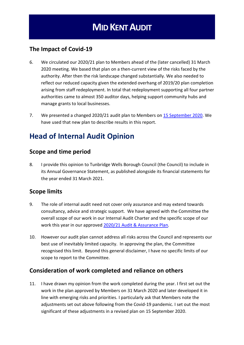#### **The Impact of Covid-19**

- 6. We circulated our 2020/21 plan to Members ahead of the (later cancelled) 31 March 2020 meeting. We based that plan on a then-current view of the risks faced by the authority. After then the risk landscape changed substantially. We also needed to reflect our reduced capacity given the extended overhang of 2019/20 plan completion arising from staff redeployment. In total that redeployment supporting all four partner authorities came to almost 350 auditor days, helping support community hubs and manage grants to local businesses.
- 7. We presented a changed 2020/21 audit plan to Members on [15 September 2020.](https://democracy.tunbridgewells.gov.uk/ieListDocuments.aspx?CId=364&MId=4719&Ver=4) We have used that new plan to describe results in this report.

### **Head of Internal Audit Opinion**

#### **Scope and time period**

8. I provide this opinion to Tunbridge Wells Borough Council (the Council) to include in its Annual Governance Statement, as published alongside its financial statements for the year ended 31 March 2021.

#### **Scope limits**

- 9. The role of internal audit need not cover only assurance and may extend towards consultancy, advice and strategic support. We have agreed with the Committee the overall scope of our work in our Internal Audit Charter and the specific scope of our work this year in our approved [2020/21 Audit & Assurance Plan](https://democracy.tunbridgewells.gov.uk/ieListDocuments.aspx?CId=364&MId=4719&Ver=4)*.*
- 10. However our audit plan cannot address all risks across the Council and represents our best use of inevitably limited capacity. In approving the plan, the Committee recognised this limit. Beyond this general disclaimer, I have no specific limits of our scope to report to the Committee.

#### **Consideration of work completed and reliance on others**

11. I have drawn my opinion from the work completed during the year. I first set out the work in the plan approved by Members on 31 March 2020 and later developed it in line with emerging risks and priorities. I particularly ask that Members note the adjustments set out above following from the Covid-19 pandemic. I set out the most significant of these adjustments in a revised plan on 15 September 2020.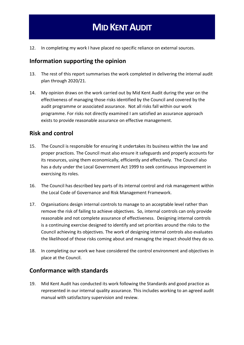12. In completing my work I have placed no specific reliance on external sources.

#### **Information supporting the opinion**

- 13. The rest of this report summarises the work completed in delivering the internal audit plan through 2020/21.
- 14. My opinion draws on the work carried out by Mid Kent Audit during the year on the effectiveness of managing those risks identified by the Council and covered by the audit programme or associated assurance. Not all risks fall within our work programme. For risks not directly examined I am satisfied an assurance approach exists to provide reasonable assurance on effective management.

#### **Risk and control**

- 15. The Council is responsible for ensuring it undertakes its business within the law and proper practices. The Council must also ensure it safeguards and properly accounts for its resources, using them economically, efficiently and effectively. The Council also has a duty under the Local Government Act 1999 to seek continuous improvement in exercising its roles.
- 16. The Council has described key parts of its internal control and risk management within the Local Code of Governance and Risk Management Framework.
- 17. Organisations design internal controls to manage to an acceptable level rather than remove the risk of failing to achieve objectives. So, internal controls can only provide reasonable and not complete assurance of effectiveness. Designing internal controls is a continuing exercise designed to identify and set priorities around the risks to the Council achieving its objectives. The work of designing internal controls also evaluates the likelihood of those risks coming about and managing the impact should they do so.
- 18. In completing our work we have considered the control environment and objectives in place at the Council.

#### **Conformance with standards**

19. Mid Kent Audit has conducted its work following the Standards and good practice as represented in our internal quality assurance. This includes working to an agreed audit manual with satisfactory supervision and review.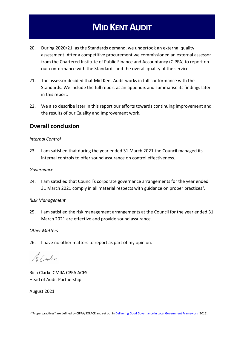- 20. During 2020/21, as the Standards demand, we undertook an external quality assessment. After a competitive procurement we commissioned an external assessor from the Chartered Institute of Public Finance and Accountancy (CIPFA) to report on our conformance with the Standards and the overall quality of the service.
- 21. The assessor decided that Mid Kent Audit works in full conformance with the Standards. We include the full report as an appendix and summarise its findings later in this report.
- 22. We also describe later in this report our efforts towards continuing improvement and the results of our Quality and Improvement work.

#### **Overall conclusion**

#### *Internal Control*

23. I am satisfied that during the year ended 31 March 2021 the Council managed its internal controls to offer sound assurance on control effectiveness.

#### *Governance*

24. I am satisfied that Council's corporate governance arrangements for the year ended 31 March 2021 comply in all material respects with guidance on proper practices<sup>1</sup>.

#### *Risk Management*

25. I am satisfied the risk management arrangements at the Council for the year ended 31 March 2021 are effective and provide sound assurance.

#### *Other Matters*

26. I have no other matters to report as part of my opinion.

16 Centre

Rich Clarke CMIIA CPFA ACFS Head of Audit Partnership

August 2021

<sup>&</sup>lt;sup>1</sup> "Proper practices" are defined by CIPFA/SOLACE and set out in [Delivering Good Governance in Local Government Framework](http://www.cipfa.org/policy-and-guidance/publications/d/delivering-good-governance-in-local-government-framework-2016-edition) (2016).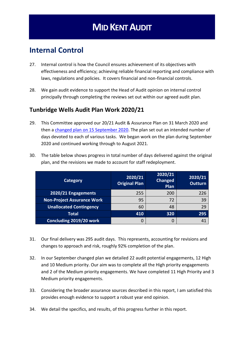### **Internal Control**

- 27. Internal control is how the Council ensures achievement of its objectives with effectiveness and efficiency; achieving reliable financial reporting and compliance with laws, regulations and policies. It covers financial and non-financial controls.
- 28. We gain audit evidence to support the Head of Audit opinion on internal control principally through completing the reviews set out within our agreed audit plan.

#### **Tunbridge Wells Audit Plan Work 2020/21**

29. This Committee approved our 20/21 Audit & Assurance Plan on 31 March 2020 and then a changed plan [on 15 September 2020.](https://democracy.tunbridgewells.gov.uk/ieListDocuments.aspx?CId=364&MId=4719&Ver=4) The plan set out an intended number of days devoted to each of various tasks. We began work on the plan during September 2020 and continued working through to August 2021.

| <b>Category</b>                   | 2020/21<br><b>Original Plan</b> | 2020/21<br><b>Changed</b><br>Plan | 2020/21<br><b>Outturn</b> |
|-----------------------------------|---------------------------------|-----------------------------------|---------------------------|
| 2020/21 Engagements               | 255                             | 200                               | 226                       |
| <b>Non-Project Assurance Work</b> | 95                              | 72                                | 39                        |
| <b>Unallocated Contingency</b>    | 60                              | 48                                | 29                        |
| <b>Total</b>                      | 410                             | 320                               | 295                       |
| Concluding 2019/20 work           | 0                               |                                   |                           |

30. The table below shows progress in total number of days delivered against the original plan, and the revisions we made to account for staff redeployment.

- 31. Our final delivery was 295 audit days. This represents, accounting for revisions and changes to approach and risk, roughly 92% completion of the plan.
- 32. In our September changed plan we detailed 22 audit potential engagements, 12 High and 10 Medium priority. Our aim was to complete all the High priority engagements and 2 of the Medium priority engagements. We have completed 11 High Priority and 3 Medium priority engagements.
- 33. Considering the broader assurance sources described in this report, I am satisfied this provides enough evidence to support a robust year end opinion.
- 34. We detail the specifics, and results, of this progress further in this report.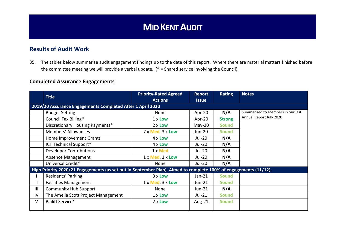#### **Results of Audit Work**

35. The tables below summarise audit engagement findings up to the date of this report. Where there are material matters finished before the committee meeting we will provide a verbal update. (\* = Shared service involving the Council).

#### **Completed Assurance Engagements**

|              | <b>Title</b>                                                                                                     | <b>Priority-Rated Agreed</b><br><b>Actions</b> | <b>Report</b><br><b>Issue</b> | <b>Rating</b> | <b>Notes</b>                      |  |
|--------------|------------------------------------------------------------------------------------------------------------------|------------------------------------------------|-------------------------------|---------------|-----------------------------------|--|
|              | 2019/20 Assurance Engagements Completed After 1 April 2020                                                       |                                                |                               |               |                                   |  |
|              | <b>Budget Setting</b>                                                                                            | None                                           | Apr-20                        | N/A           | Summarised to Members in our last |  |
|              | Council Tax Billing*                                                                                             | 1 x Low                                        | Apr-20                        | <b>Strong</b> | Annual Report July 2020           |  |
|              | Discretionary Housing Payments*                                                                                  | $2 \times$ Low                                 | $May-20$                      | <b>Sound</b>  |                                   |  |
|              | Members' Allowances                                                                                              | 7 x Med, 3 x Low                               | <b>Jun-20</b>                 | <b>Sound</b>  |                                   |  |
|              | Home Improvement Grants                                                                                          | $4 \times$ Low                                 | Jul-20                        | N/A           |                                   |  |
|              | ICT Technical Support*                                                                                           | 4 x Low                                        | Jul-20                        | N/A           |                                   |  |
|              | <b>Developer Contributions</b>                                                                                   | 1 x Med                                        | Jul-20                        | N/A           |                                   |  |
|              | <b>Absence Management</b>                                                                                        | 1 x Med, 1 x Low                               | Jul-20                        | N/A           |                                   |  |
|              | Universal Credit*                                                                                                | None                                           | Jul-20                        | N/A           |                                   |  |
|              | High Priority 2020/21 Engagements (as set out in September Plan). Aimed to complete 100% of engagements (11/12). |                                                |                               |               |                                   |  |
|              | Residents' Parking                                                                                               | $3x$ Low                                       | $Jan-21$                      | <b>Sound</b>  |                                   |  |
| $\mathbf{H}$ | <b>Facilities Management</b>                                                                                     | $1 \times$ Med, $3 \times$ Low                 | Jun-21                        | <b>Sound</b>  |                                   |  |
| Ш            | <b>Community Hub Support</b>                                                                                     | None                                           | $Jun-21$                      | N/A           |                                   |  |
| IV           | The Amelia Scott Project Management                                                                              | $1 \times$ Low                                 | $Jul-21$                      | <b>Sound</b>  |                                   |  |
| V            | Bailiff Service*                                                                                                 | $2 \times$ Low                                 | Aug-21                        | <b>Sound</b>  |                                   |  |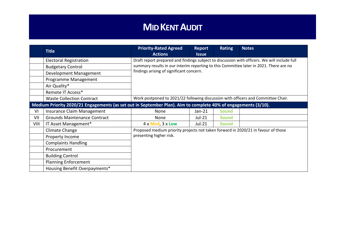|                                                                                                                |                                     | <b>Priority-Rated Agreed</b>                                                                                                       | Report       | <b>Rating</b> | <b>Notes</b> |
|----------------------------------------------------------------------------------------------------------------|-------------------------------------|------------------------------------------------------------------------------------------------------------------------------------|--------------|---------------|--------------|
|                                                                                                                | <b>Title</b>                        | <b>Actions</b>                                                                                                                     | <b>Issue</b> |               |              |
|                                                                                                                | <b>Electoral Registration</b>       | Draft report prepared and findings subject to discussion with officers. We will include full                                       |              |               |              |
|                                                                                                                | <b>Budgetary Control</b>            | summary results in our interim reporting to this Committee later in 2021. There are no<br>findings arising of significant concern. |              |               |              |
|                                                                                                                | Development Management              |                                                                                                                                    |              |               |              |
|                                                                                                                | Programme Management                |                                                                                                                                    |              |               |              |
|                                                                                                                | Air Quality*                        |                                                                                                                                    |              |               |              |
|                                                                                                                | Remote IT Access*                   |                                                                                                                                    |              |               |              |
|                                                                                                                | <b>Waste Collection Contract</b>    | Work postponed to 2021/22 following discussion with officers and Committee Chair.                                                  |              |               |              |
| Medium Priority 2020/21 Engagements (as set out in September Plan). Aim to complete 40% of engagements (3/10). |                                     |                                                                                                                                    |              |               |              |
| VI                                                                                                             | Insurance Claim Management          | None                                                                                                                               | $Jan-21$     | <b>Sound</b>  |              |
| VII                                                                                                            | <b>Grounds Maintenance Contract</b> | None                                                                                                                               | Jul-21       | <b>Sound</b>  |              |
| VIII                                                                                                           | IT Asset Management*                | 4 x Med, 3 x Low                                                                                                                   | Jul-21       | <b>Sound</b>  |              |
|                                                                                                                | Climate Change                      | Proposed medium priority projects not taken forward in 2020/21 in favour of those<br>presenting higher risk.                       |              |               |              |
|                                                                                                                | Property Income                     |                                                                                                                                    |              |               |              |
|                                                                                                                | <b>Complaints Handling</b>          |                                                                                                                                    |              |               |              |
|                                                                                                                | Procurement                         |                                                                                                                                    |              |               |              |
|                                                                                                                | <b>Building Control</b>             |                                                                                                                                    |              |               |              |
|                                                                                                                | <b>Planning Enforcement</b>         |                                                                                                                                    |              |               |              |
|                                                                                                                | Housing Benefit Overpayments*       |                                                                                                                                    |              |               |              |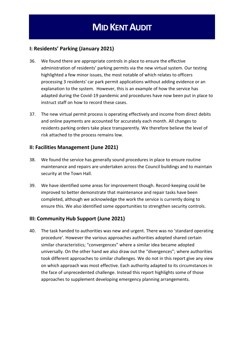#### **I: Residents' Parking (January 2021)**

- 36. We found there are appropriate controls in place to ensure the effective administration of residents' parking permits via the new virtual system. Our testing highlighted a few minor issues, the most notable of which relates to officers processing 3 residents' car park permit applications without adding evidence or an explanation to the system. However, this is an example of how the service has adapted during the Covid-19 pandemic and procedures have now been put in place to instruct staff on how to record these cases.
- 37. The new virtual permit process is operating effectively and income from direct debits and online payments are accounted for accurately each month. All changes to residents parking orders take place transparently. We therefore believe the level of risk attached to the process remains low.

#### **II: Facilities Management (June 2021)**

- 38. We found the service has generally sound procedures in place to ensure routine maintenance and repairs are undertaken across the Council buildings and to maintain security at the Town Hall.
- 39. We have identified some areas for improvement though. Record-keeping could be improved to better demonstrate that maintenance and repair tasks have been completed, although we acknowledge the work the service is currently doing to ensure this. We also identified some opportunities to strengthen security controls.

#### **III: Community Hub Support (June 2021)**

40. The task handed to authorities was new and urgent. There was no 'standard operating procedure'. However the various approaches authorities adopted shared certain similar characteristics; "convergences" where a similar idea became adopted universally. On the other hand we also draw out the "divergences"; where authorities took different approaches to similar challenges. We do not in this report give any view on which approach was most effective. Each authority adapted to its circumstances in the face of unprecedented challenge. Instead this report highlights some of those approaches to supplement developing emergency planning arrangements.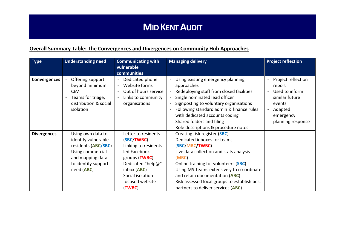#### **Overall Summary Table: The Convergences and Divergences on Community Hub Approaches**

| <b>Type</b>        | <b>Understanding need</b>                                                                                                                    | <b>Communicating with</b><br>vulnerable<br>communities                                                                                                                                    | <b>Managing delivery</b>                                                                                                                                                                                                                                                                                                                       | <b>Project reflection</b>                                                                                               |
|--------------------|----------------------------------------------------------------------------------------------------------------------------------------------|-------------------------------------------------------------------------------------------------------------------------------------------------------------------------------------------|------------------------------------------------------------------------------------------------------------------------------------------------------------------------------------------------------------------------------------------------------------------------------------------------------------------------------------------------|-------------------------------------------------------------------------------------------------------------------------|
| Convergences       | Offering support<br>beyond minimum<br><b>CEV</b><br>Teams for triage,<br>distribution & social<br>isolation                                  | Dedicated phone<br>Website forms<br>Out of hours service<br>Links to community<br>organisations                                                                                           | Using existing emergency planning<br>approaches<br>Redeploying staff from closed facilities<br>Single nominated lead officer<br>Signposting to voluntary organisations<br>Following standard admin & finance rules<br>with dedicated accounts coding<br>Shared folders and filing<br>Role descriptions & procedure notes                       | Project reflection<br>report<br>Used to inform<br>similar future<br>events<br>Adapted<br>emergency<br>planning response |
| <b>Divergences</b> | Using own data to<br>identify vulnerable<br>residents (ABC/SBC)<br>Using commercial<br>and mapping data<br>to identify support<br>need (ABC) | Letter to residents<br>(SBC/TWBC)<br>Linking to residents-<br>led Facebook<br>groups ( <b>TWBC</b> )<br>Dedicated "help@"<br>inbox (ABC)<br>Social isolation<br>focused website<br>(TWBC) | Creating risk register (SBC)<br>Dedicated inboxes for teams<br>(SBC/MBC/TWBC)<br>Live data collection and stats analysis<br>(MBC)<br>Online training for volunteers (SBC)<br>Using MS Teams extensively to co-ordinate<br>and retain documentation (ABC)<br>Risk assessed local groups to establish best<br>partners to deliver services (ABC) |                                                                                                                         |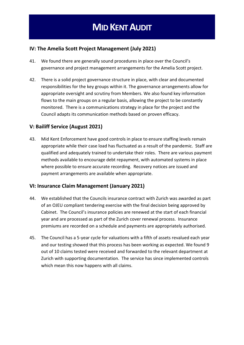#### **IV: The Amelia Scott Project Management (July 2021)**

- 41. We found there are generally sound procedures in place over the Council's governance and project management arrangements for the Amelia Scott project.
- 42. There is a solid project governance structure in place, with clear and documented responsibilities for the key groups within it. The governance arrangements allow for appropriate oversight and scrutiny from Members. We also found key information flows to the main groups on a regular basis, allowing the project to be constantly monitored. There is a communications strategy in place for the project and the Council adapts its communication methods based on proven efficacy.

#### **V: Bailiff Service (August 2021)**

43. Mid Kent Enforcement have good controls in place to ensure staffing levels remain appropriate while their case load has fluctuated as a result of the pandemic. Staff are qualified and adequately trained to undertake their roles. There are various payment methods available to encourage debt repayment, with automated systems in place where possible to ensure accurate recording. Recovery notices are issued and payment arrangements are available when appropriate.

#### **VI: Insurance Claim Management (January 2021)**

- 44. We established that the Councils insurance contract with Zurich was awarded as part of an OJEU compliant tendering exercise with the final decision being approved by Cabinet. The Council's insurance policies are renewed at the start of each financial year and are processed as part of the Zurich cover renewal process. Insurance premiums are recorded on a schedule and payments are appropriately authorised.
- 45. The Council has a 5-year cycle for valuations with a fifth of assets revalued each year and our testing showed that this process has been working as expected. We found 9 out of 10 claims tested were received and forwarded to the relevant department at Zurich with supporting documentation. The service has since implemented controls which mean this now happens with all claims.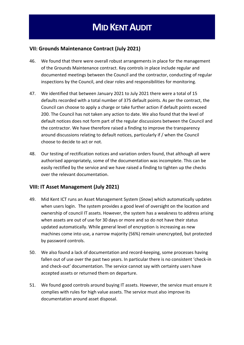#### **VII: Grounds Maintenance Contract (July 2021)**

- 46. We found that there were overall robust arrangements in place for the management of the Grounds Maintenance contract. Key controls in place include regular and documented meetings between the Council and the contractor, conducting of regular inspections by the Council, and clear roles and responsibilities for monitoring.
- 47. We identified that between January 2021 to July 2021 there were a total of 15 defaults recorded with a total number of 375 default points. As per the contract, the Council can choose to apply a charge or take further action if default points exceed 200. The Council has not taken any action to date. We also found that the level of default notices does not form part of the regular discussions between the Council and the contractor. We have therefore raised a finding to improve the transparency around discussions relating to default notices, particularly if / when the Council choose to decide to act or not.
- 48. Our testing of rectification notices and variation orders found, that although all were authorised appropriately, some of the documentation was incomplete. This can be easily rectified by the service and we have raised a finding to tighten up the checks over the relevant documentation.

#### **VIII: IT Asset Management (July 2021)**

- 49. Mid Kent ICT runs an Asset Management System (*Snow*) which automatically updates when users login. The system provides a good level of oversight on the location and ownership of council IT assets. However, the system has a weakness to address arising when assets are out of use for 30 days or more and so do not have their status updated automatically. While general level of encryption is increasing as new machines come into use, a narrow majority (56%) remain unencrypted, but protected by password controls.
- 50. We also found a lack of documentation and record-keeping, some processes having fallen out of use over the past two years. In particular there is no consistent 'check-in and check-out' documentation. The service cannot say with certainty users have accepted assets or returned them on departure.
- 51. We found good controls around buying IT assets. However, the service must ensure it complies with rules for high value assets. The service must also improve its documentation around asset disposal.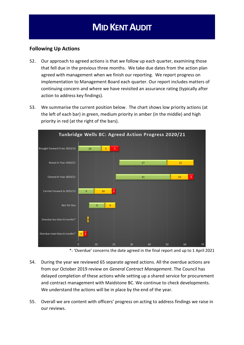#### **Following Up Actions**

- 52. Our approach to agreed actions is that we follow up each quarter, examining those that fell due in the previous three months. We take due dates from the action plan agreed with management when we finish our reporting. We report progress on implementation to Management Board each quarter. Our report includes matters of continuing concern and where we have revisited an assurance rating (typically after action to address key findings).
- 53. We summarise the current position below. The chart shows low priority actions (at the left of each bar) in green, medium priority in amber (in the middle) and high priority in red (at the right of the bars).



<sup>\*:</sup> 'Overdue' concerns the date agreed in the final report and up to 1 April 2021

- 54. During the year we reviewed 65 separate agreed actions. All the overdue actions are from our October 2019 review on *General Contract Management*. The Council has delayed completion of these actions while setting up a shared service for procurement and contract management with Maidstone BC. We continue to check developments. We understand the actions will be in place by the end of the year.
- 55. Overall we are content with officers' progress on acting to address findings we raise in our reviews.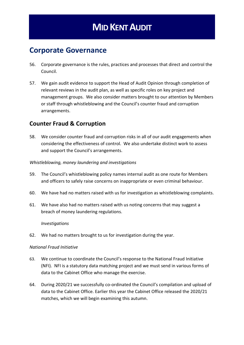### **Corporate Governance**

- 56. Corporate governance is the rules, practices and processes that direct and control the Council.
- 57. We gain audit evidence to support the Head of Audit Opinion through completion of relevant reviews in the audit plan, as well as specific roles on key project and management groups. We also consider matters brought to our attention by Members or staff through whistleblowing and the Council's counter fraud and corruption arrangements.

#### **Counter Fraud & Corruption**

58. We consider counter fraud and corruption risks in all of our audit engagements when considering the effectiveness of control. We also undertake distinct work to assess and support the Council's arrangements.

#### *Whistleblowing, money laundering and investigations*

- 59. The Council's whistleblowing policy names internal audit as one route for Members and officers to safely raise concerns on inappropriate or even criminal behaviour.
- 60. We have had no matters raised with us for investigation as whistleblowing complaints.
- 61. We have also had no matters raised with us noting concerns that may suggest a breach of money laundering regulations.

#### *Investigations*

62. We had no matters brought to us for investigation during the year.

#### *National Fraud Initiative*

- 63. We continue to coordinate the Council's response to the National Fraud Initiative (NFI). NFI is a statutory data matching project and we must send in various forms of data to the Cabinet Office who manage the exercise.
- 64. During 2020/21 we successfully co-ordinated the Council's compilation and upload of data to the Cabinet Office. Earlier this year the Cabinet Office released the 2020/21 matches, which we will begin examining this autumn.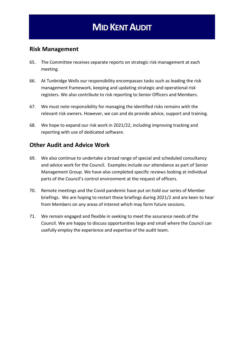#### **Risk Management**

- 65. The Committee receives separate reports on strategic risk management at each meeting.
- 66. At Tunbridge Wells our responsibility encompasses tasks such as leading the risk management framework, keeping and updating strategic and operational risk registers. We also contribute to risk reporting to Senior Officers and Members.
- 67. We must note responsibility for managing the identified risks remains with the relevant risk owners. However, we can and do provide advice, support and training.
- 68. We hope to expand our risk work in 2021/22, including improving tracking and reporting with use of dedicated software.

#### **Other Audit and Advice Work**

- 69. We also continue to undertake a broad range of special and scheduled consultancy and advice work for the Council. Examples include our attendance as part of Senior Management Group. We have also completed specific reviews looking at individual parts of the Council's control environment at the request of officers.
- 70. Remote meetings and the Covid pandemic have put on hold our series of Member briefings. We are hoping to restart these briefings during 2021/2 and are keen to hear from Members on any areas of interest which may form future sessions.
- 71. We remain engaged and flexible in seeking to meet the assurance needs of the Council. We are happy to discuss opportunities large and small where the Council can usefully employ the experience and expertise of the audit team.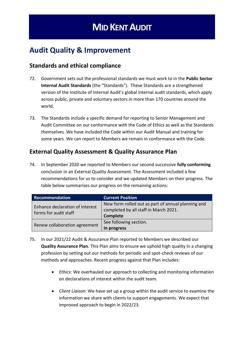### **Audit Quality & Improvement**

#### **Standards and ethical compliance**

- 72. Government sets out the professional standards we must work to in the **Public Sector Internal Audit Standards** (the "Standards"). These Standards are a strengthened version of the Institute of Internal Audit's global internal audit standards, which apply across public, private and voluntary sectors in more than 170 countries around the world.
- 73. The Standards include a specific demand for reporting to Senior Management and Audit Committee on our conformance with the Code of Ethics as well as the Standards themselves. We have included the Code within our Audit Manual and training for some years. We can report to Members we remain in conformance with the Code.

#### **External Quality Assessment & Quality Assurance Plan**

74. In September 2020 we reported to Members our second successive **fully conforming**  conclusion in an External Quality Assessment. The Assessment included a few recommendations for us to consider and we updated Members on their progress. The table below summarises our progress on the remaining actions:

| Recommendation                                           | <b>Current Position</b>                                                                                 |
|----------------------------------------------------------|---------------------------------------------------------------------------------------------------------|
| Enhance declaration of interest<br>forms for audit staff | New form rolled out as part of annual planning and<br>completed by all staff in March 2021.<br>Complete |
| Renew collaboration agreement                            | See following section.<br>In progress                                                                   |

- 75. In our 2021/22 Audit & Assurance Plan reported to Members we described our **Quality Assurance Plan**. This Plan aims to ensure we uphold high quality in a changing profession by setting out our methods for periodic and spot-check reviews of our methods and approaches. Recent progress against that Plan includes:
	- *Ethics*: We overhauled our approach to collecting and monitoring information on declarations of interest within the audit team.
	- *Client Liaison*: We have set up a group within the audit service to examine the information we share with clients to support engagements. We expect that improved approach to begin in 2022/23.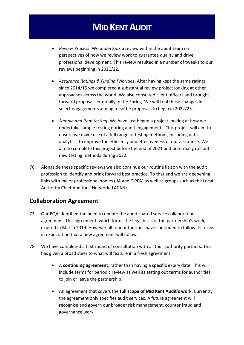- *Review Process*: We undertook a review within the audit team on perspectives of how we review work to guarantee quality and drive professional development. This review resulted in a number of tweaks to our reviews beginning in 2021/22.
- *Assurance Ratings & Finding Priorities*: After having kept the same ratings since 2014/15 we completed a substantial review project looking at other approaches across the world. We also consulted client officers and brought forward proposals internally in the Spring. We will trial these changes in select engagements aiming to settle proposals to begin in 2022/23.
- *Sample and item testing*: We have just begun a project looking at how we undertake sample testing during audit engagements. This project will aim to ensure we make use of a full range of testing methods, including data analytics, to improve the efficiency and effectiveness of our assurance. We aim to complete this project before the end of 2021 and potentially roll out new testing methods during 2022.
- 76. Alongside these specific reviews we also continue our routine liaison with the audit profession to identify and bring forward best practice. To that end we are deepening links with major professional bodies (IIA and CIPFA) as well as groups such as the Local Authority Chief Auditors' Network (LACAN).

#### **Collaboration Agreement**

- 77. Our EQA identified the need to update the audit shared service collaboration agreement. This agreement, which forms the legal basis of the partnership's work, expired in March 2019. However all four authorities have continued to follow its terms in expectation that a new agreement will follow.
- 78. We have completed a first round of consultation with all four authority partners. This has given a broad steer to what will feature in a fresh agreement:
	- A **continuing agreement**, rather than having a specific expiry date. This will include terms for periodic review as well as setting out terms for authorities to join or leave the partnership.
	- An agreement that covers the **full scope of Mid Kent Audit's work**. Currently the agreement only specifies audit services. A future agreement will recognise and govern our broader risk management, counter fraud and governance work.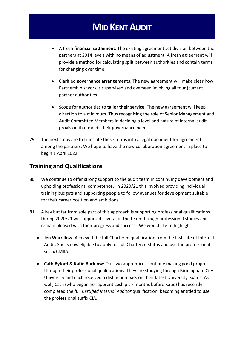- A fresh **financial settlement**. The existing agreement set division between the partners at 2014 levels with no means of adjustment. A fresh agreement will provide a method for calculating split between authorities and contain terms for changing over time.
- Clarified **governance arrangements**. The new agreement will make clear how Partnership's work is supervised and overseen involving all four (current) partner authorities.
- Scope for authorities to **tailor their service**. The new agreement will keep direction to a minimum. Thus recognising the role of Senior Management and Audit Committee Members in deciding a level and nature of internal audit provision that meets their governance needs.
- 79. The next steps are to translate these terms into a legal document for agreement among the partners. We hope to have the new collaboration agreement in place to begin 1 April 2022.

#### **Training and Qualifications**

- 80. We continue to offer strong support to the audit team in continuing development and upholding professional competence. In 2020/21 this involved providing individual training budgets and supporting people to follow avenues for development suitable for their career position and ambitions.
- 81. A key but far from sole part of this approach is supporting professional qualifications. During 2020/21 we supported several of the team through professional studies and remain pleased with their progress and success. We would like to highlight:
	- **Jen Warrillow**: Achieved the full Chartered qualification from the Institute of Internal Audit. She is now eligible to apply for full Chartered status and use the professional suffix CMIIA.
	- **Cath Byford & Katie Bucklow:** Our two apprentices continue making good progress through their professional qualifications. They are studying through Birmingham City University and each received a distinction pass on their latest University exams. As well, Cath (who began her apprenticeship six months before Katie) has recently completed the full *Certified Internal Auditor* qualification, becoming entitled to use the professional suffix CIA.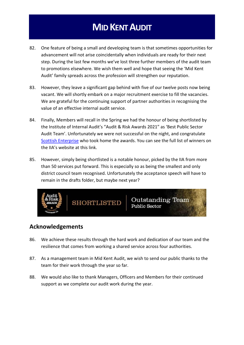- 82. One feature of being a small and developing team is that sometimes opportunities for advancement will not arise coincidentally when individuals are ready for their next step. During the last few months we've lost three further members of the audit team to promotions elsewhere. We wish them well and hope that seeing the 'Mid Kent Audit' family spreads across the profession will strengthen our reputation.
- 83. However, they leave a significant gap behind with five of our twelve posts now being vacant. We will shortly embark on a major recruitment exercise to fill the vacancies. We are grateful for the continuing support of partner authorities in recognising the value of an effective internal audit service.
- 84. Finally, Members will recall in the Spring we had the honour of being shortlisted by the Institute of Internal Audit's "Audit & Risk Awards 2021" as 'Best Public Sector Audit Team'. Unfortunately we were not successful on the night, and congratulate [Scottish Enterprise](https://events.iia.org.uk/conferences-and-key-events/audit-risk-awards/audit-risk-awards-the-winners/) who took home the awards. You can see the full list of winners on the IIA's website at this link.
- 85. However, simply being shortlisted is a notable honour, picked by the IIA from more than 50 services put forward. This is especially so as being the smallest and only district council team recognised. Unfortunately the acceptance speech will have to remain in the drafts folder, but maybe next year?



#### **Acknowledgements**

- 86. We achieve these results through the hard work and dedication of our team and the resilience that comes from working a shared service across four authorities.
- 87. As a management team in Mid Kent Audit, we wish to send our public thanks to the team for their work through the year so far.
- 88. We would also like to thank Managers, Officers and Members for their continued support as we complete our audit work during the year.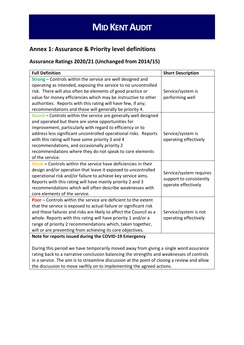#### **Annex 1: Assurance & Priority level definitions**

#### **Assurance Ratings 2020/21 (Unchanged from 2014/15)**

| <b>Full Definition</b>                                                | <b>Short Description</b> |
|-----------------------------------------------------------------------|--------------------------|
| Strong - Controls within the service are well designed and            |                          |
| operating as intended, exposing the service to no uncontrolled        |                          |
| risk. There will also often be elements of good practice or           | Service/system is        |
| value for money efficiencies which may be instructive to other        | performing well          |
| authorities. Reports with this rating will have few, if any;          |                          |
| recommendations and those will generally be priority 4.               |                          |
| Sound – Controls within the service are generally well designed       |                          |
| and operated but there are some opportunities for                     |                          |
| improvement, particularly with regard to efficiency or to             |                          |
| address less significant uncontrolled operational risks. Reports      | Service/system is        |
| with this rating will have some priority 3 and 4                      | operating effectively    |
| recommendations, and occasionally priority 2                          |                          |
| recommendations where they do not speak to core elements              |                          |
| of the service.                                                       |                          |
| Weak - Controls within the service have deficiencies in their         |                          |
| design and/or operation that leave it exposed to uncontrolled         | Service/system requires  |
| operational risk and/or failure to achieve key service aims.          | support to consistently  |
| Reports with this rating will have mainly priority 2 and 3            | operate effectively      |
| recommendations which will often describe weaknesses with             |                          |
| core elements of the service.                                         |                          |
| <b>Poor</b> – Controls within the service are deficient to the extent |                          |
| that the service is exposed to actual failure or significant risk     |                          |
| and these failures and risks are likely to affect the Council as a    | Service/system is not    |
| whole. Reports with this rating will have priority 1 and/or a         | operating effectively    |
| range of priority 2 recommendations which, taken together,            |                          |
| will or are preventing from achieving its core objectives.            |                          |
| Note for reports issued during the COVID-19 Emergency                 |                          |
|                                                                       |                          |

During this period we have temporarily moved away from giving a single word assurance rating back to a narrative conclusion balancing the strengths and weaknesses of controls in a service. The aim is to streamline discussion at the point of closing a review and allow the discussion to move swiftly on to implementing the agreed actions.